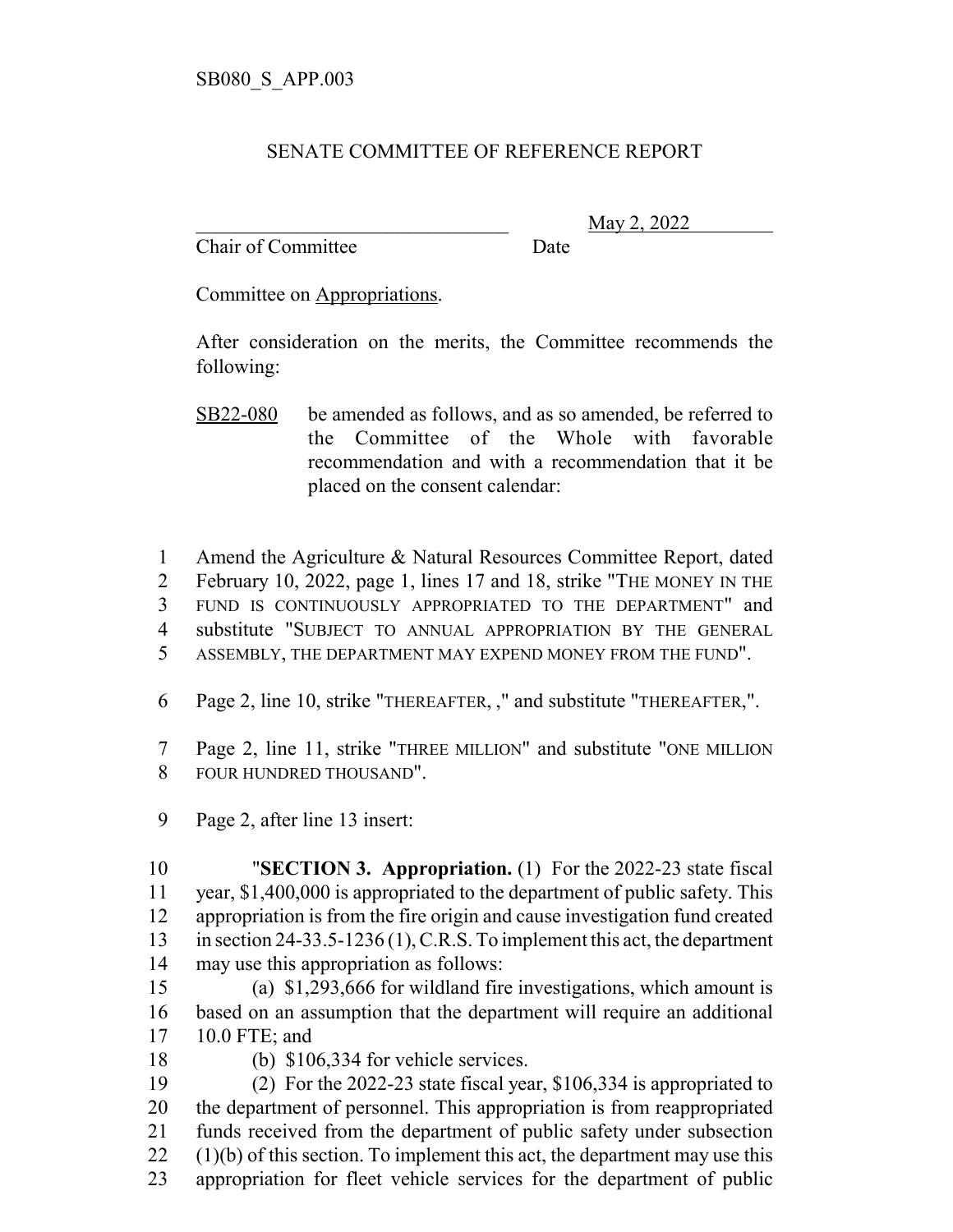## SENATE COMMITTEE OF REFERENCE REPORT

Chair of Committee Date

\_\_\_\_\_\_\_\_\_\_\_\_\_\_\_\_\_\_\_\_\_\_\_\_\_\_\_\_\_\_\_ May 2, 2022

Committee on Appropriations.

After consideration on the merits, the Committee recommends the following:

- SB22-080 be amended as follows, and as so amended, be referred to the Committee of the Whole with favorable recommendation and with a recommendation that it be placed on the consent calendar:
- Amend the Agriculture & Natural Resources Committee Report, dated February 10, 2022, page 1, lines 17 and 18, strike "THE MONEY IN THE FUND IS CONTINUOUSLY APPROPRIATED TO THE DEPARTMENT" and substitute "SUBJECT TO ANNUAL APPROPRIATION BY THE GENERAL
- ASSEMBLY, THE DEPARTMENT MAY EXPEND MONEY FROM THE FUND".
- Page 2, line 10, strike "THEREAFTER, ," and substitute "THEREAFTER,".
- Page 2, line 11, strike "THREE MILLION" and substitute "ONE MILLION FOUR HUNDRED THOUSAND".
- Page 2, after line 13 insert:

 "**SECTION 3. Appropriation.** (1) For the 2022-23 state fiscal year, \$1,400,000 is appropriated to the department of public safety. This appropriation is from the fire origin and cause investigation fund created in section 24-33.5-1236 (1), C.R.S. To implement this act, the department may use this appropriation as follows:

 (a) \$1,293,666 for wildland fire investigations, which amount is based on an assumption that the department will require an additional 10.0 FTE; and

- 
- (b) \$106,334 for vehicle services.

 (2) For the 2022-23 state fiscal year, \$106,334 is appropriated to the department of personnel. This appropriation is from reappropriated funds received from the department of public safety under subsection (1)(b) of this section. To implement this act, the department may use this appropriation for fleet vehicle services for the department of public